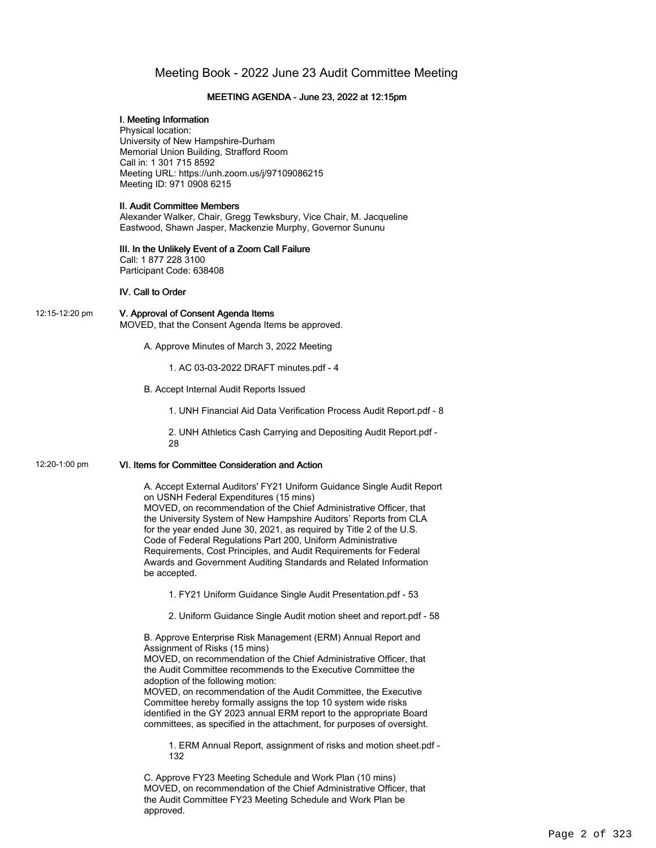# Meeting Book - 2022 June 23 Audit Committee Meeting

### MEETING AGENDA - June 23, 2022 at 12:15pm

#### I. Meeting Information

Physical location: University of New Hampshire-Durham Memorial Union Building, Strafford Room Call in: 1 301 715 8592 Meeting URL: https://unh.zoom.us/j/97109086215 Meeting ID: 971 0908 6215

#### II. Audit Committee Members

Alexander Walker, Chair, Gregg Tewksbury, Vice Chair, M. Jacqueline Eastwood, Shawn Jasper, Mackenzie Murphy, Governor Sununu

#### III. In the Unlikely Event of a Zoom Call Failure Call: 1 877 228 3100

Participant Code: 638408

## IV. Call to Order

12:15-12:20 pm V. Approval of Consent Agenda Items MOVED, that the Consent Agenda Items be approved.

A. Approve Minutes of March 3, 2022 Meeting

1. AC 03-03-2022 DRAFT minutes.pdf - 4

B. Accept Internal Audit Reports Issued

1. UNH Financial Aid Data Verification Process Audit Report.pdf - 8

2. UNH Athletics Cash Carrying and Depositing Audit Report.pdf - 28

# 12:20-1:00 pm VI. Items for Committee Consideration and Action

A. Accept External Auditors' FY21 Uniform Guidance Single Audit Report on USNH Federal Expenditures (15 mins) MOVED, on recommendation of the Chief Administrative Officer, that the University System of New Hampshire Auditors' Reports from CLA

for the year ended June 30, 2021, as required by Title 2 of the U.S. Code of Federal Regulations Part 200, Uniform Administrative Requirements, Cost Principles, and Audit Requirements for Federal Awards and Government Auditing Standards and Related Information be accepted.

1. FY21 Uniform Guidance Single Audit Presentation.pdf - 53

2. Uniform Guidance Single Audit motion sheet and report.pdf - 58

B. Approve Enterprise Risk Management (ERM) Annual Report and Assignment of Risks (15 mins)

MOVED, on recommendation of the Chief Administrative Officer, that the Audit Committee recommends to the Executive Committee the adoption of the following motion:

MOVED, on recommendation of the Audit Committee, the Executive Committee hereby formally assigns the top 10 system wide risks identified in the GY 2023 annual ERM report to the appropriate Board committees, as specified in the attachment, for purposes of oversight.

1. ERM Annual Report, assignment of risks and motion sheet.pdf - 132

C. Approve FY23 Meeting Schedule and Work Plan (10 mins) MOVED, on recommendation of the Chief Administrative Officer, that the Audit Committee FY23 Meeting Schedule and Work Plan be approved.